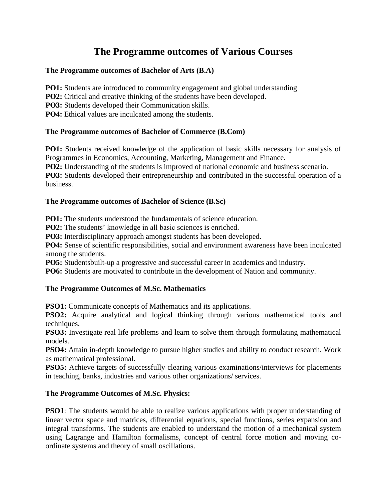# **The Programme outcomes of Various Courses**

### **The Programme outcomes of Bachelor of Arts (B.A)**

**PO1:** Students are introduced to community engagement and global understanding

**PO2:** Critical and creative thinking of the students have been developed.

**PO3:** Students developed their Communication skills.

**PO4:** Ethical values are inculcated among the students.

### **The Programme outcomes of Bachelor of Commerce (B.Com)**

**PO1:** Students received knowledge of the application of basic skills necessary for analysis of Programmes in Economics, Accounting, Marketing, Management and Finance.

**PO2:** Understanding of the students is improved of national economic and business scenario.

**PO3:** Students developed their entrepreneurship and contributed in the successful operation of a business.

### **The Programme outcomes of Bachelor of Science (B.Sc)**

**PO1:** The students understood the fundamentals of science education.

**PO2:** The students' knowledge in all basic sciences is enriched.

**PO3:** Interdisciplinary approach amongst students has been developed.

**PO4:** Sense of scientific responsibilities, social and environment awareness have been inculcated among the students.

**PO5:** Studentsbuilt-up a progressive and successful career in academics and industry.

**PO6:** Students are motivated to contribute in the development of Nation and community.

# **The Programme Outcomes of M.Sc. Mathematics**

**PSO1:** Communicate concepts of Mathematics and its applications.

**PSO2:** Acquire analytical and logical thinking through various mathematical tools and techniques.

**PSO3:** Investigate real life problems and learn to solve them through formulating mathematical models.

**PSO4:** Attain in-depth knowledge to pursue higher studies and ability to conduct research. Work as mathematical professional.

**PSO5:** Achieve targets of successfully clearing various examinations/interviews for placements in teaching, banks, industries and various other organizations/ services.

# **The Programme Outcomes of M.Sc. Physics:**

**PSO1**: The students would be able to realize various applications with proper understanding of linear vector space and matrices, differential equations, special functions, series expansion and integral transforms. The students are enabled to understand the motion of a mechanical system using Lagrange and Hamilton formalisms, concept of central force motion and moving coordinate systems and theory of small oscillations.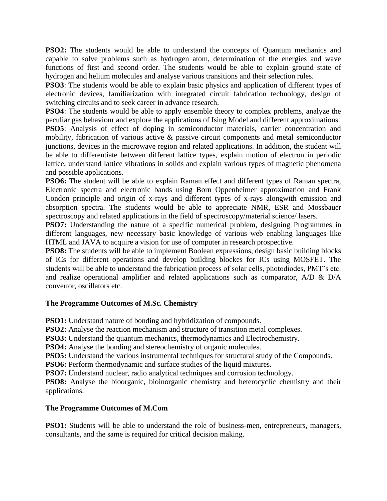**PSO2:** The students would be able to understand the concepts of Quantum mechanics and capable to solve problems such as hydrogen atom, determination of the energies and wave functions of first and second order. The students would be able to explain ground state of hydrogen and helium molecules and analyse various transitions and their selection rules.

**PSO3**: The students would be able to explain basic physics and application of different types of electronic devices, familiarization with integrated circuit fabrication technology, design of switching circuits and to seek career in advance research.

**PSO4**: The students would be able to apply ensemble theory to complex problems, analyze the peculiar gas behaviour and explore the applications of Ising Model and different approximations. **PSO5**: Analysis of effect of doping in semiconductor materials, carrier concentration and

mobility, fabrication of various active & passive circuit components and metal semiconductor junctions, devices in the microwave region and related applications. In addition, the student will be able to differentiate between different lattice types, explain motion of electron in periodic lattice, understand lattice vibrations in solids and explain various types of magnetic phenomena and possible applications.

**PSO6:** The student will be able to explain Raman effect and different types of Raman spectra, Electronic spectra and electronic bands using Born Oppenheimer approximation and Frank Condon principle and origin of x-rays and different types of x-rays alongwith emission and absorption spectra. The students would be able to appreciate NMR, ESR and Mossbauer spectroscopy and related applications in the field of spectroscopy/material science/ lasers.

**PSO7:** Understanding the nature of a specific numerical problem, designing Programmes in different languages, new necessary basic knowledge of various web enabling languages like HTML and JAVA to acquire a vision for use of computer in research prospective.

**PSO8:** The students will be able to implement Boolean expressions, design basic building blocks of ICs for different operations and develop building blockes for ICs using MOSFET. The students will be able to understand the fabrication process of solar cells, photodiodes, PMT's etc. and realize operational amplifier and related applications such as comparator, A/D & D/A convertor, oscillators etc.

# **The Programme Outcomes of M.Sc. Chemistry**

**PSO1:** Understand nature of bonding and hybridization of compounds.

**PSO2:** Analyse the reaction mechanism and structure of transition metal complexes.

**PSO3:** Understand the quantum mechanics, thermodynamics and Electrochemistry.

**PSO4:** Analyse the bonding and stereochemistry of organic molecules.

**PSO5:** Understand the various instrumental techniques for structural study of the Compounds.

**PSO6:** Perform thermodynamic and surface studies of the liquid mixtures.

**PSO7:** Understand nuclear, radio analytical techniques and corrosion technology.

**PSO8:** Analyse the bioorganic, bioinorganic chemistry and heterocyclic chemistry and their applications.

# **The Programme Outcomes of M.Com**

**PSO1:** Students will be able to understand the role of business-men, entrepreneurs, managers, consultants, and the same is required for critical decision making.